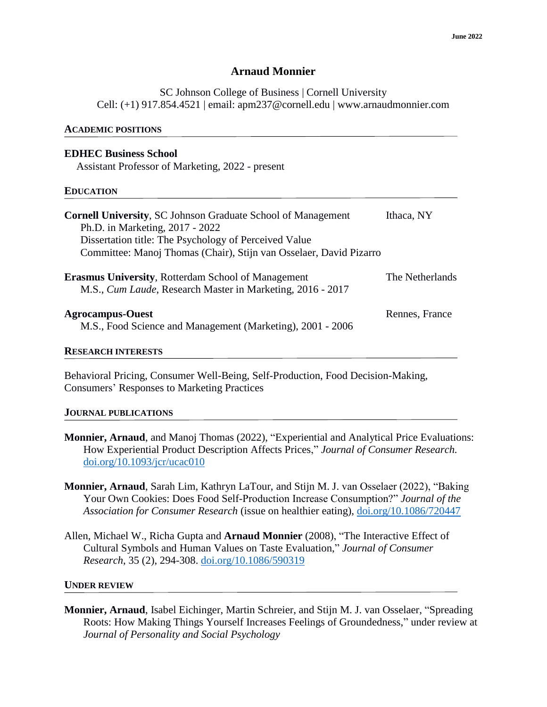## **Arnaud Monnier**

SC Johnson College of Business | Cornell University Cell: (+1) 917.854.4521 | email: apm237@cornell.edu | www.arnaudmonnier.com

#### **ACADEMIC POSITIONS**

### **EDHEC Business School**

Assistant Professor of Marketing, 2022 - present

#### **EDUCATION**

| <b>Cornell University, SC Johnson Graduate School of Management</b><br>Ph.D. in Marketing, 2017 - 2022<br>Dissertation title: The Psychology of Perceived Value<br>Committee: Manoj Thomas (Chair), Stijn van Osselaer, David Pizarro | Ithaca, NY      |
|---------------------------------------------------------------------------------------------------------------------------------------------------------------------------------------------------------------------------------------|-----------------|
| <b>Erasmus University, Rotterdam School of Management</b><br>M.S., Cum Laude, Research Master in Marketing, 2016 - 2017                                                                                                               | The Netherlands |
| <b>Agrocampus-Ouest</b><br>M.S., Food Science and Management (Marketing), 2001 - 2006                                                                                                                                                 | Rennes, France  |

#### **RESEARCH INTERESTS**

Behavioral Pricing, Consumer Well-Being, Self-Production, Food Decision-Making, Consumers' Responses to Marketing Practices

## **JOURNAL PUBLICATIONS**

- **Monnier, Arnaud**, and Manoj Thomas (2022), "Experiential and Analytical Price Evaluations: How Experiential Product Description Affects Prices," *Journal of Consumer Research.*  [doi.org/10.1093/jcr/ucac010](https://doi.org/10.1093/jcr/ucac010)
- **Monnier, Arnaud**, Sarah Lim, Kathryn LaTour, and Stijn M. J. van Osselaer (2022), "Baking Your Own Cookies: Does Food Self-Production Increase Consumption?" *Journal of the Association for Consumer Research* (issue on healthier eating), [doi.org/10.1086/720447](https://doi.org/10.1086/720447)
- Allen, Michael W., Richa Gupta and **Arnaud Monnier** (2008), "The Interactive Effect of Cultural Symbols and Human Values on Taste Evaluation," *Journal of Consumer Research*, 35 (2), 294-308. [doi.org/10.1086/590319](https://psycnet.apa.org/doi/10.1086/590319)

### **UNDER REVIEW**

**Monnier, Arnaud**, Isabel Eichinger, Martin Schreier, and Stijn M. J. van Osselaer, "Spreading Roots: How Making Things Yourself Increases Feelings of Groundedness," under review at *Journal of Personality and Social Psychology*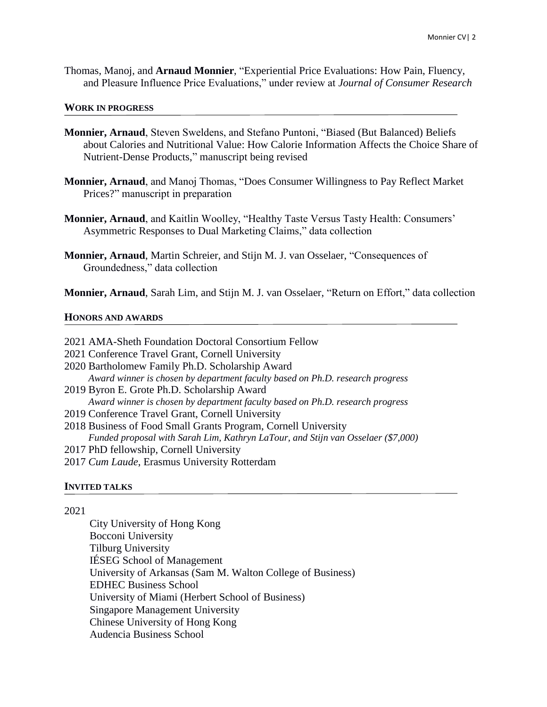Thomas, Manoj, and **Arnaud Monnier**, "Experiential Price Evaluations: How Pain, Fluency, and Pleasure Influence Price Evaluations," under review at *Journal of Consumer Research*

### **WORK IN PROGRESS**

- **Monnier, Arnaud**, Steven Sweldens, and Stefano Puntoni, "Biased (But Balanced) Beliefs about Calories and Nutritional Value: How Calorie Information Affects the Choice Share of Nutrient-Dense Products," manuscript being revised
- **Monnier, Arnaud**, and Manoj Thomas, "Does Consumer Willingness to Pay Reflect Market Prices?" manuscript in preparation
- **Monnier, Arnaud**, and Kaitlin Woolley, "Healthy Taste Versus Tasty Health: Consumers' Asymmetric Responses to Dual Marketing Claims," data collection
- **Monnier, Arnaud**, Martin Schreier, and Stijn M. J. van Osselaer, "Consequences of Groundedness," data collection

**Monnier, Arnaud**, Sarah Lim, and Stijn M. J. van Osselaer, "Return on Effort," data collection

### **HONORS AND AWARDS**

| 2021 AMA-Sheth Foundation Doctoral Consortium Fellow                             |  |
|----------------------------------------------------------------------------------|--|
| 2021 Conference Travel Grant, Cornell University                                 |  |
| 2020 Bartholomew Family Ph.D. Scholarship Award                                  |  |
| Award winner is chosen by department faculty based on Ph.D. research progress    |  |
| 2019 Byron E. Grote Ph.D. Scholarship Award                                      |  |
| Award winner is chosen by department faculty based on Ph.D. research progress    |  |
| 2019 Conference Travel Grant, Cornell University                                 |  |
| 2018 Business of Food Small Grants Program, Cornell University                   |  |
| Funded proposal with Sarah Lim, Kathryn LaTour, and Stijn van Osselaer (\$7,000) |  |
| 2017 PhD fellowship, Cornell University                                          |  |
| 2017 Cum Laude, Erasmus University Rotterdam                                     |  |

### **INVITED TALKS**

### 2021

City University of Hong Kong Bocconi University Tilburg University IÉSEG School of Management University of Arkansas (Sam M. Walton College of Business) EDHEC Business School University of Miami (Herbert School of Business) Singapore Management University Chinese University of Hong Kong Audencia Business School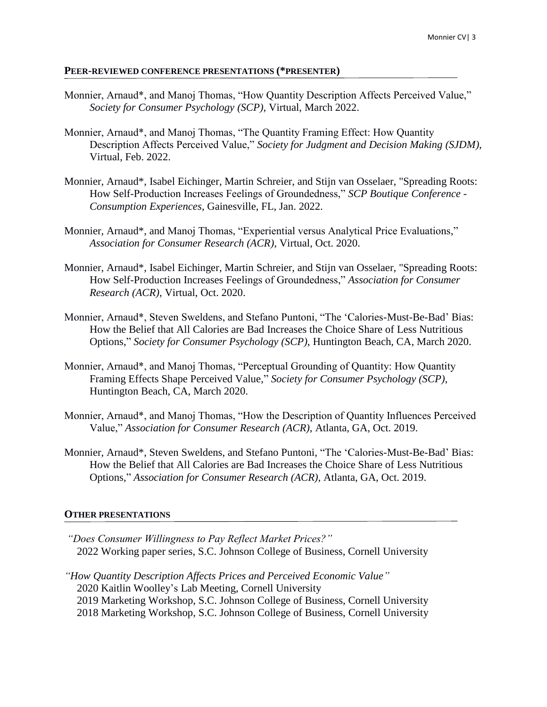### **PEER-REVIEWED CONFERENCE PRESENTATIONS (\*PRESENTER)**

- Monnier, Arnaud\*, and Manoj Thomas, "How Quantity Description Affects Perceived Value," *Society for Consumer Psychology (SCP)*, Virtual, March 2022.
- Monnier, Arnaud\*, and Manoj Thomas, "The Quantity Framing Effect: How Quantity Description Affects Perceived Value," *Society for Judgment and Decision Making (SJDM)*, Virtual, Feb. 2022.
- Monnier, Arnaud\*, Isabel Eichinger, Martin Schreier, and Stijn van Osselaer, "Spreading Roots: How Self-Production Increases Feelings of Groundedness," *SCP Boutique Conference - Consumption Experiences*, Gainesville, FL, Jan. 2022.
- Monnier, Arnaud\*, and Manoj Thomas, "Experiential versus Analytical Price Evaluations," *Association for Consumer Research (ACR)*, Virtual, Oct. 2020.
- Monnier, Arnaud\*, Isabel Eichinger, Martin Schreier, and Stijn van Osselaer, "Spreading Roots: How Self-Production Increases Feelings of Groundedness," *Association for Consumer Research (ACR)*, Virtual, Oct. 2020.
- Monnier, Arnaud\*, Steven Sweldens, and Stefano Puntoni, "The 'Calories-Must-Be-Bad' Bias: How the Belief that All Calories are Bad Increases the Choice Share of Less Nutritious Options," *Society for Consumer Psychology (SCP)*, Huntington Beach, CA, March 2020.
- Monnier, Arnaud\*, and Manoj Thomas, "Perceptual Grounding of Quantity: How Quantity Framing Effects Shape Perceived Value," *Society for Consumer Psychology (SCP)*, Huntington Beach, CA, March 2020.
- Monnier, Arnaud\*, and Manoj Thomas, "How the Description of Quantity Influences Perceived Value," *Association for Consumer Research (ACR)*, Atlanta, GA, Oct. 2019.
- Monnier, Arnaud\*, Steven Sweldens, and Stefano Puntoni, "The 'Calories-Must-Be-Bad' Bias: How the Belief that All Calories are Bad Increases the Choice Share of Less Nutritious Options," *Association for Consumer Research (ACR)*, Atlanta, GA, Oct. 2019.

### **OTHER PRESENTATIONS**

- *"Does Consumer Willingness to Pay Reflect Market Prices?"* 2022 Working paper series, S.C. Johnson College of Business, Cornell University
- *"How Quantity Description Affects Prices and Perceived Economic Value"* 2020 Kaitlin Woolley's Lab Meeting, Cornell University 2019 Marketing Workshop, S.C. Johnson College of Business, Cornell University 2018 Marketing Workshop, S.C. Johnson College of Business, Cornell University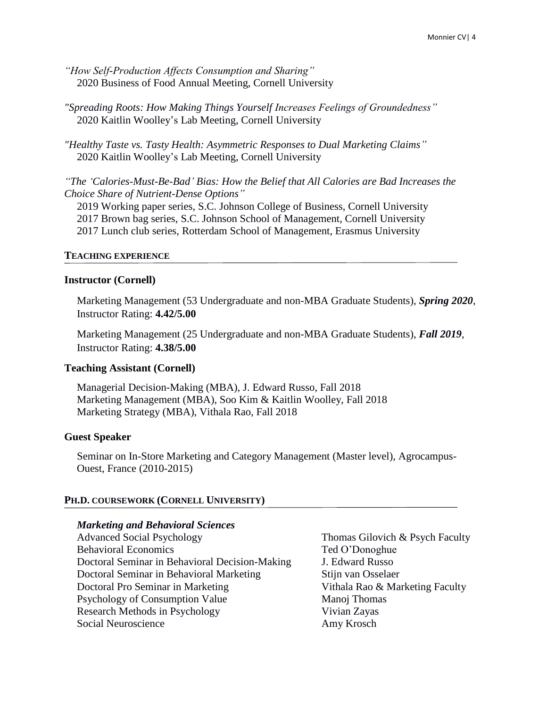*"How Self-Production Affects Consumption and Sharing"* 2020 Business of Food Annual Meeting, Cornell University

*"Spreading Roots: How Making Things Yourself Increases Feelings of Groundedness"* 2020 Kaitlin Woolley's Lab Meeting, Cornell University

*"Healthy Taste vs. Tasty Health: Asymmetric Responses to Dual Marketing Claims"* 2020 Kaitlin Woolley's Lab Meeting, Cornell University

*"The 'Calories-Must-Be-Bad' Bias: How the Belief that All Calories are Bad Increases the Choice Share of Nutrient-Dense Options"*

2019 Working paper series, S.C. Johnson College of Business, Cornell University 2017 Brown bag series, S.C. Johnson School of Management, Cornell University 2017 Lunch club series, Rotterdam School of Management, Erasmus University

## **TEACHING EXPERIENCE**

### **Instructor (Cornell)**

Marketing Management (53 Undergraduate and non-MBA Graduate Students), *Spring 2020*, Instructor Rating: **4.42/5.00**

Marketing Management (25 Undergraduate and non-MBA Graduate Students), *Fall 2019*, Instructor Rating: **4.38/5.00**

## **Teaching Assistant (Cornell)**

Managerial Decision-Making (MBA), J. Edward Russo, Fall 2018 Marketing Management (MBA), Soo Kim & Kaitlin Woolley, Fall 2018 Marketing Strategy (MBA), Vithala Rao, Fall 2018

## **Guest Speaker**

Seminar on In-Store Marketing and Category Management (Master level), Agrocampus-Ouest, France (2010-2015)

## **PH.D. COURSEWORK (CORNELL UNIVERSITY)**

## *Marketing and Behavioral Sciences*

Behavioral Economics Ted O'Donoghue Doctoral Seminar in Behavioral Decision-Making J. Edward Russo Doctoral Seminar in Behavioral Marketing Stijn van Osselaer Doctoral Pro Seminar in Marketing Theorem 1995 Vithala Rao & Marketing Faculty Psychology of Consumption Value Manoj Thomas Research Methods in Psychology Vivian Zayas Social Neuroscience Amy Krosch

Advanced Social Psychology Thomas Gilovich & Psych Faculty